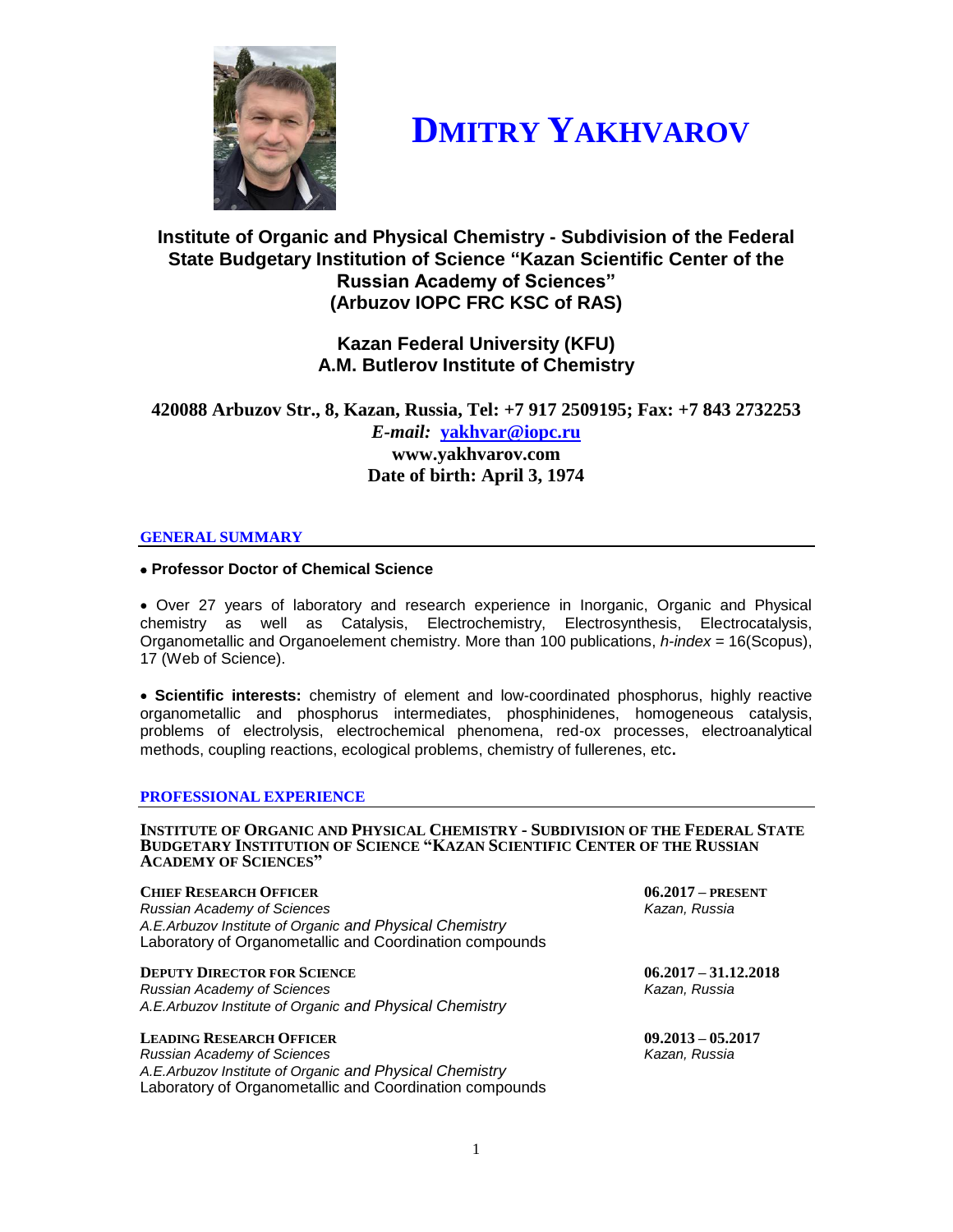

# **DMITRY YAKHVAROV**

# **Institute of Organic and Physical Chemistry - Subdivision of the Federal State Budgetary Institution of Science "Kazan Scientific Center of the Russian Academy of Sciences" (Arbuzov IOPC FRC KSC of RAS)**

## **Kazan Federal University (KFU) A.M. Butlerov Institute of Chemistry**

## **420088 Arbuzov Str., 8, Kazan, Russia, Tel: +7 917 2509195; Fax: +7 843 2732253** *E-mail:* **[yakhvar@iopc.ru](mailto:yakhvar@iopc.ru) www.yakhvarov.com Date of birth: April 3, 1974**

#### **GENERAL SUMMARY**

#### **Professor Doctor of Chemical Science**

 Over 27 years of laboratory and research experience in Inorganic, Organic and Physical chemistry as well as Catalysis, Electrochemistry, Electrosynthesis, Electrocatalysis, Organometallic and Organoelement chemistry. More than 100 publications, *h-index* = 16(Scopus), 17 (Web of Science).

 **Scientific interests:** chemistry of element and low-coordinated phosphorus, highly reactive organometallic and phosphorus intermediates, phosphinidenes, homogeneous catalysis, problems of electrolysis, electrochemical phenomena, red-ox processes, electroanalytical methods, coupling reactions, ecological problems, chemistry of fullerenes, etc**.**

#### **PROFESSIONAL EXPERIENCE**

#### **INSTITUTE OF ORGANIC AND PHYSICAL CHEMISTRY - SUBDIVISION OF THE FEDERAL STATE BUDGETARY INSTITUTION OF SCIENCE "KAZAN SCIENTIFIC CENTER OF THE RUSSIAN ACADEMY OF SCIENCES"**

**CHIEF RESEARCH OFFICER 06.2017 – PRESENT** *Russian Academy of Sciences A.E.Arbuzov Institute of Organic and Physical Chemistry* Laboratory of Organometallic and Coordination compounds

**DEPUTY DIRECTOR FOR SCIENCE 06.2017 – 31.12.2018 Russian Academy of Sciences** Kazan, Russia *A.E.Arbuzov Institute of Organic and Physical Chemistry*

#### **LEADING RESEARCH OFFICER 09.2013 – 05.2017**

**Russian Academy of Sciences** Kazan, Russia *A.E.Arbuzov Institute of Organic and Physical Chemistry* Laboratory of Organometallic and Coordination compounds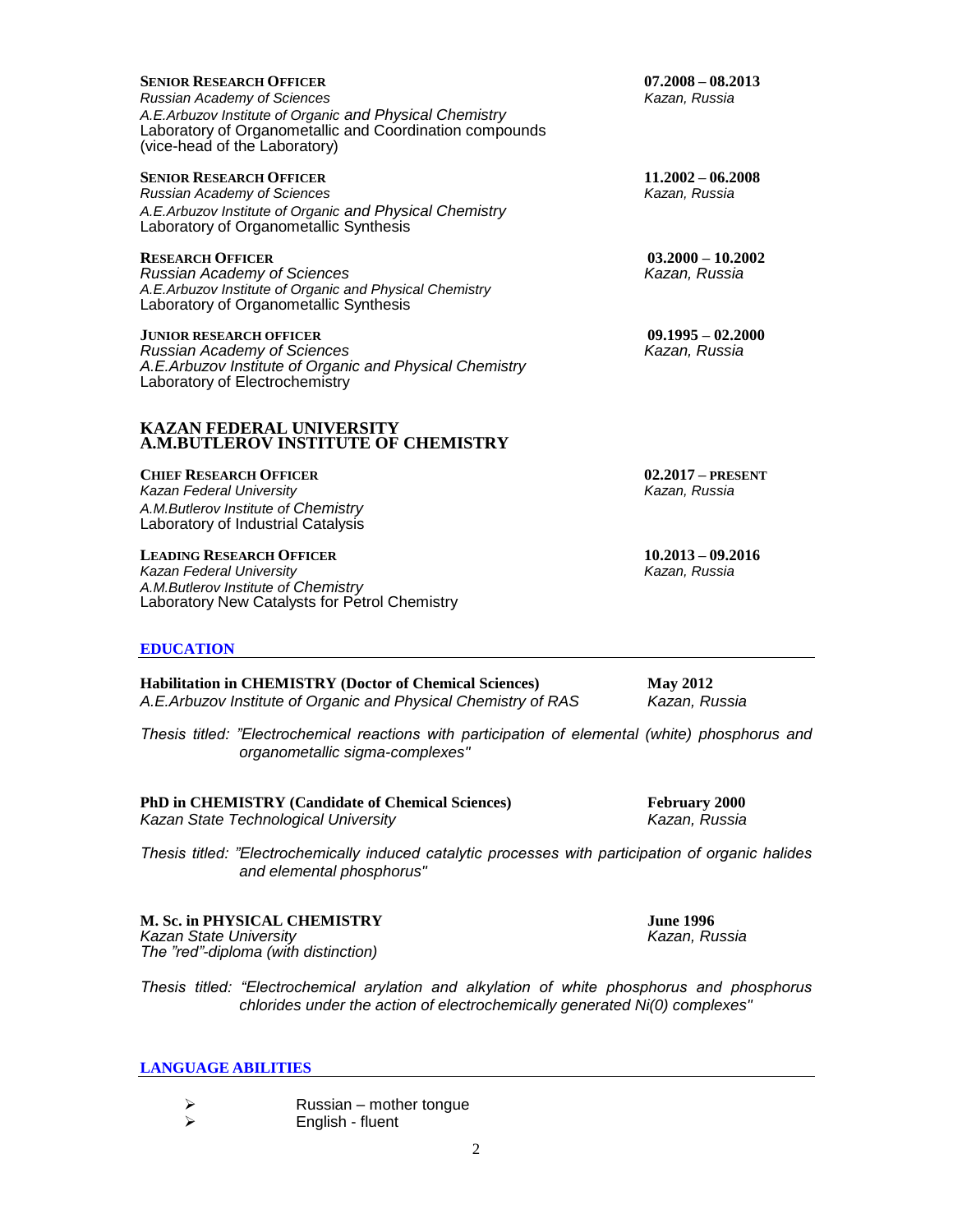| (vice-head of the Laboratory)                                                                                                                                      |                                       |
|--------------------------------------------------------------------------------------------------------------------------------------------------------------------|---------------------------------------|
| <b>SENIOR RESEARCH OFFICER</b><br>Russian Academy of Sciences<br>A.E.Arbuzov Institute of Organic and Physical Chemistry<br>Laboratory of Organometallic Synthesis | $11.2002 - 06.2008$<br>Kazan, Russia  |
| <b>RESEARCH OFFICER</b><br><b>Russian Academy of Sciences</b><br>A.E.Arbuzov Institute of Organic and Physical Chemistry<br>Laboratory of Organometallic Synthesis | $03.2000 - 10.2002$<br>Kazan, Russia  |
| <b>JUNIOR RESEARCH OFFICER</b><br><b>Russian Academy of Sciences</b><br>A.E.Arbuzov Institute of Organic and Physical Chemistry<br>Laboratory of Electrochemistry  | $09.1995 - 02.2000$<br>Kazan, Russia  |
| <b>KAZAN FEDERAL UNIVERSITY</b><br><b>A.M.BUTLEROV INSTITUTE OF CHEMISTRY</b>                                                                                      |                                       |
| <b>CHIEF RESEARCH OFFICER</b><br>Kazan Federal University<br>A.M.Butlerov Institute of Chemistry<br>Laboratory of Industrial Catalysis                             | $02.2017 - PRESENT$<br>Kazan, Russia  |
| <b>LEADING RESEARCH OFFICER</b><br>Kazan Federal University<br>A.M.Butlerov Institute of Chemistry<br>Laboratory New Catalysts for Petrol Chemistry                | $10.2013 - 09.2016$<br>Kazan, Russia  |
| <b>EDUCATION</b>                                                                                                                                                   |                                       |
| <b>Habilitation in CHEMISTRY (Doctor of Chemical Sciences)</b><br>A.E.Arbuzov Institute of Organic and Physical Chemistry of RAS                                   | <b>May 2012</b><br>Kazan, Russia      |
| Thesis titled: "Electrochemical reactions with participation of elemental (white) phosphorus and<br>organometallic sigma-complexes"                                |                                       |
| PhD in CHEMISTRY (Candidate of Chemical Sciences)<br>Kazan State Technological University                                                                          | <b>February 2000</b><br>Kazan, Russia |
| Thesis titled: "Electrochemically induced catalytic processes with participation of organic halides<br>and elemental phosphorus"                                   |                                       |
| M. Sc. in PHYSICAL CHEMISTRY<br><b>Kazan State University</b><br>The "red"-diploma (with distinction)                                                              | <b>June 1996</b><br>Kazan, Russia     |
| Theois titled: "Flectuachemical culction and ellection of white phasehouse                                                                                         |                                       |

**SENIOR RESEARCH OFFICER 07.2008 – 08.2013**

*Thesis titled: "Electrochemical arylation and alkylation of white phosphorus and phosphorus chlorides under the action of electrochemically generated Ni(0) complexes"*

#### **LANGUAGE ABILITIES**

**Russian Academy of Sciences** 

*A.E.Arbuzov Institute of Organic and Physical Chemistry* Laboratory of Organometallic and Coordination compounds

- $\triangleright$  Russian mother tongue
- **►** English fluent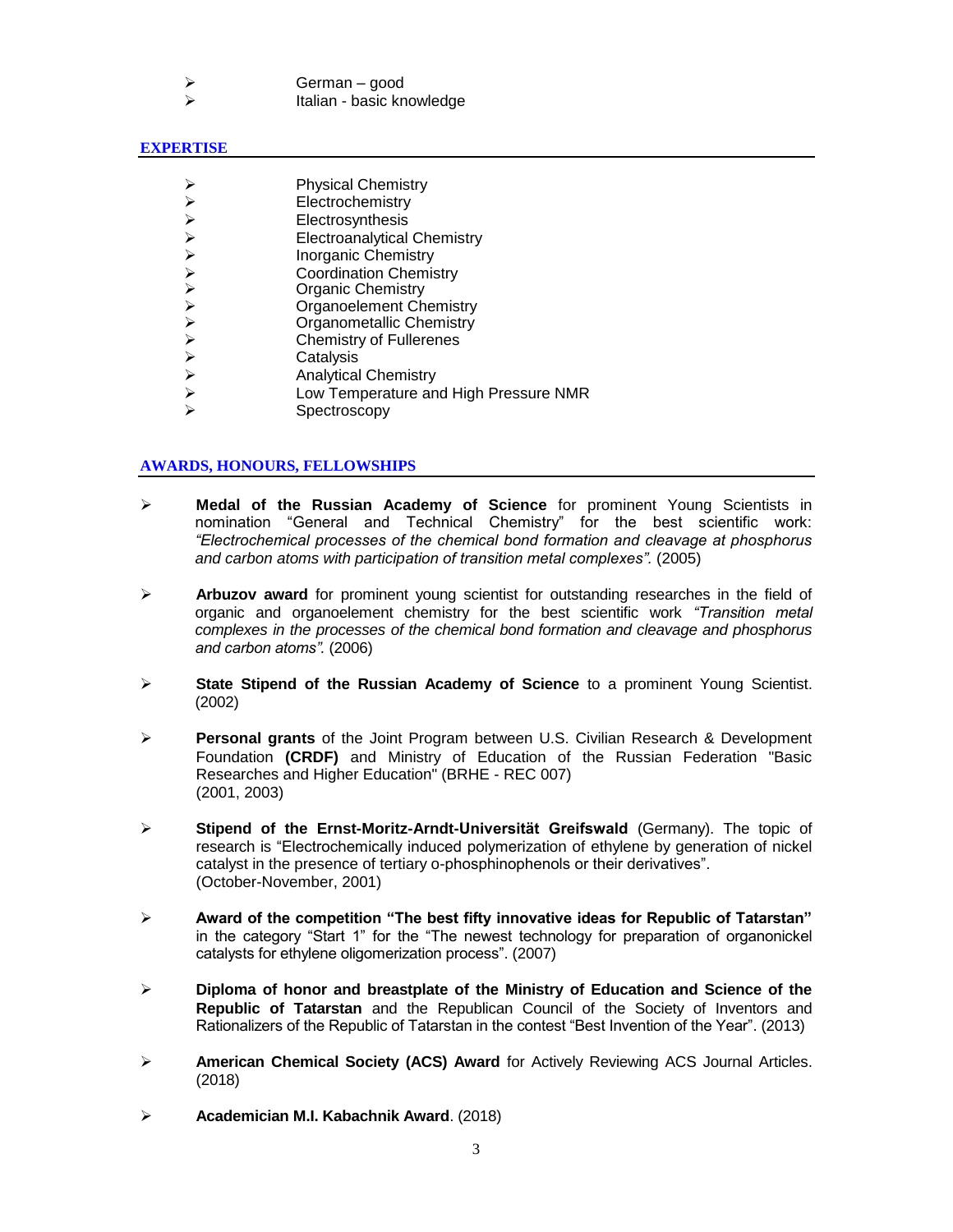| $\rightarrow$ | German – good             |
|---------------|---------------------------|
| $\rightarrow$ | Italian - basic knowledge |

#### **EXPERTISE**

|                       | <b>Physical Chemistry</b>             |
|-----------------------|---------------------------------------|
| ⋗                     | Electrochemistry                      |
| $\blacktriangleright$ | Electrosynthesis                      |
| ↘                     | <b>Electroanalytical Chemistry</b>    |
| ↘                     | <b>Inorganic Chemistry</b>            |
| $\blacktriangleright$ | <b>Coordination Chemistry</b>         |
| $\blacktriangleright$ | <b>Organic Chemistry</b>              |
| $\blacktriangleright$ | Organoelement Chemistry               |
| $\blacktriangleright$ | Organometallic Chemistry              |
| $\blacktriangleright$ | <b>Chemistry of Fullerenes</b>        |
| $\blacktriangleright$ | Catalysis                             |
| $\blacktriangleright$ | <b>Analytical Chemistry</b>           |
|                       | Low Temperature and High Pressure NMR |
|                       |                                       |

 $\triangleright$  Spectroscopy

#### **AWARDS, HONOURS, FELLOWSHIPS**

- **Medal of the Russian Academy of Science** for prominent Young Scientists in nomination "General and Technical Chemistry" for the best scientific work: *"Electrochemical processes of the chemical bond formation and cleavage at phosphorus and carbon atoms with participation of transition metal complexes".* (2005)
- **Arbuzov award** for prominent young scientist for outstanding researches in the field of organic and organoelement chemistry for the best scientific work *"Transition metal complexes in the processes of the chemical bond formation and cleavage and phosphorus and carbon atoms".* (2006)
- **State Stipend of the Russian Academy of Science** to a prominent Young Scientist. (2002)
- **Personal grants** of the Joint Program between U.S. Civilian Research & Development Foundation **(CRDF)** and Ministry of Education of the Russian Federation "Basic Researches and Higher Education" (BRHE - REC 007) (2001, 2003)
- **Stipend of the Ernst-Moritz-Arndt-Universität Greifswald** (Germany). The topic of research is "Electrochemically induced polymerization of ethylene by generation of nickel catalyst in the presence of tertiary o-phosphinophenols or their derivatives". (October-November, 2001)
- **Award of the competition "The best fifty innovative ideas for Republic of Tatarstan"**  in the category "Start 1" for the "The newest technology for preparation of organonickel catalysts for ethylene oligomerization process". (2007)
- **Diploma of honor and breastplate of the Ministry of Education and Science of the Republic of Tatarstan** and the Republican Council of the Society of Inventors and Rationalizers of the Republic of Tatarstan in the contest "Best Invention of the Year". (2013)
- **American Chemical Society (ACS) Award** for Actively Reviewing ACS Journal Articles. (2018)
- **Academician M.I. Kabachnik Award**. (2018)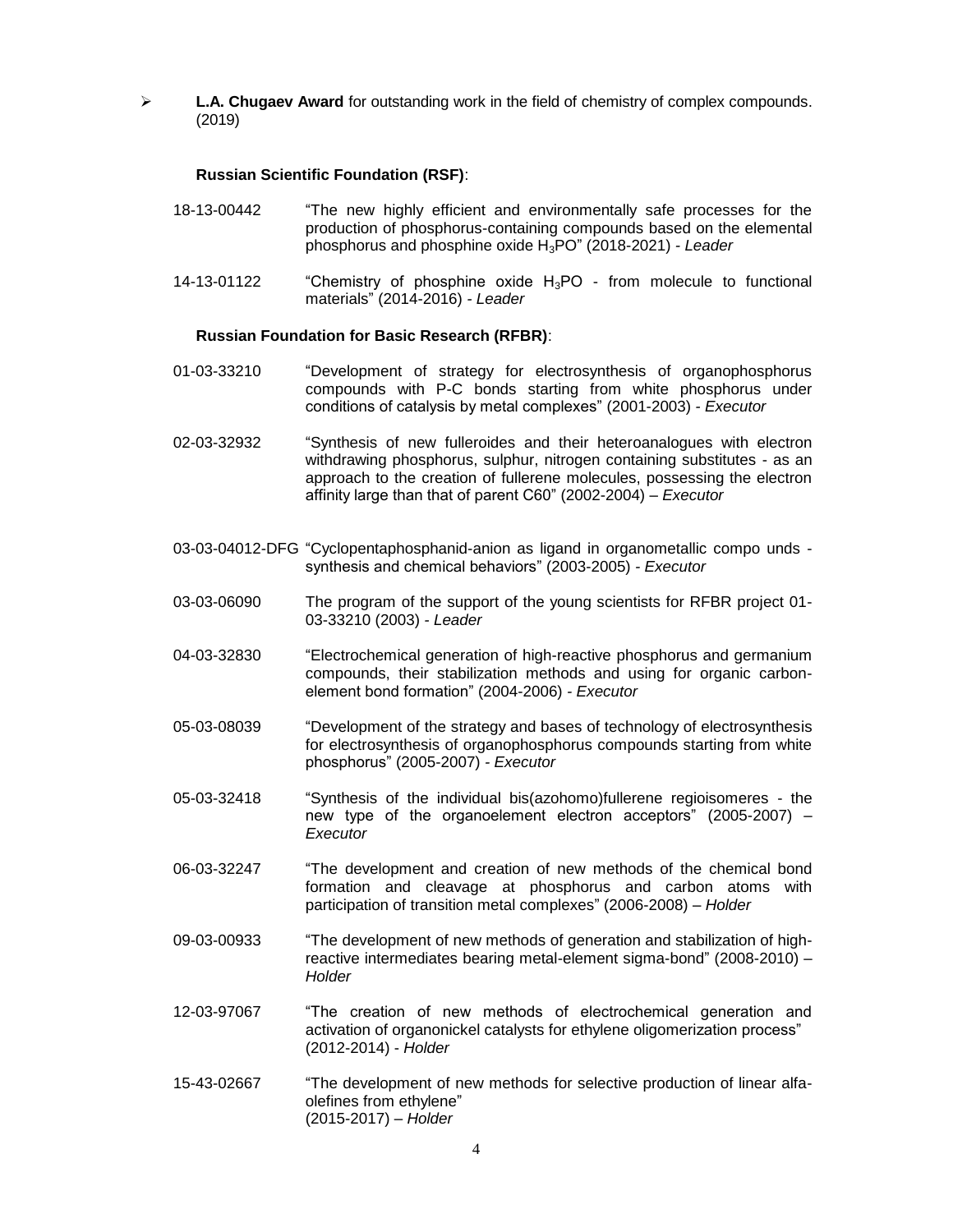**L.A. Chugaev Award** for outstanding work in the field of chemistry of complex compounds. (2019)

#### **Russian Scientific Foundation (RSF)**:

- 18-13-00442 "The new highly efficient and environmentally safe processes for the production of phosphorus-containing compounds based on the elemental phosphorus and phosphine oxide H3PO" (2018-2021) *- Leader*
- 14-13-01122 "Chemistry of phosphine oxide  $H_3PO$  from molecule to functional materials" (2014-2016) *- Leader*

#### **Russian Foundation for Basic Research (RFBR)**:

- 01-03-33210 "Development of strategy for electrosynthesis of organophosphorus compounds with P-C bonds starting from white phosphorus under conditions of catalysis by metal complexes" (2001-2003) *- Executor*
- 02-03-32932 "Synthesis of new fulleroides and their heteroanalogues with electron withdrawing phosphorus, sulphur, nitrogen containing substitutes - as an approach to the creation of fullerene molecules, possessing the electron affinity large than that of parent C60" (2002-2004) *– Executor*
- 03-03-04012-DFG "Cyclopentaphosphanid-anion as ligand in organometallic compo unds synthesis and chemical behaviors" (2003-2005) *- Executor*
- 03-03-06090 The program of the support of the young scientists for RFBR project 01- 03-33210 (2003) *- Leader*
- 04-03-32830 "Electrochemical generation of high-reactive phosphorus and germanium compounds, their stabilization methods and using for organic carbonelement bond formation" (2004-2006) *- Executor*
- 05-03-08039 "Development of the strategy and bases of technology of electrosynthesis for electrosynthesis of organophosphorus compounds starting from white phosphorus" (2005-2007) *- Executor*
- 05-03-32418 "Synthesis of the individual bis(azohomo)fullerene regioisomeres the new type of the organoelement electron acceptors" (2005-2007) *– Executor*
- 06-03-32247 "The development and creation of new methods of the chemical bond formation and cleavage at phosphorus and carbon atoms with participation of transition metal complexes" (2006-2008) *– Holder*
- 09-03-00933 "The development of new methods of generation and stabilization of highreactive intermediates bearing metal-element sigma-bond" (2008-2010) *– Holder*
- 12-03-97067 "The creation of new methods of electrochemical generation and activation of organonickel catalysts for ethylene oligomerization process" (2012-2014) - *Holder*
- 15-43-02667 "The development of new methods for selective production of linear alfaolefines from ethylene" (2015-2017) – *Holder*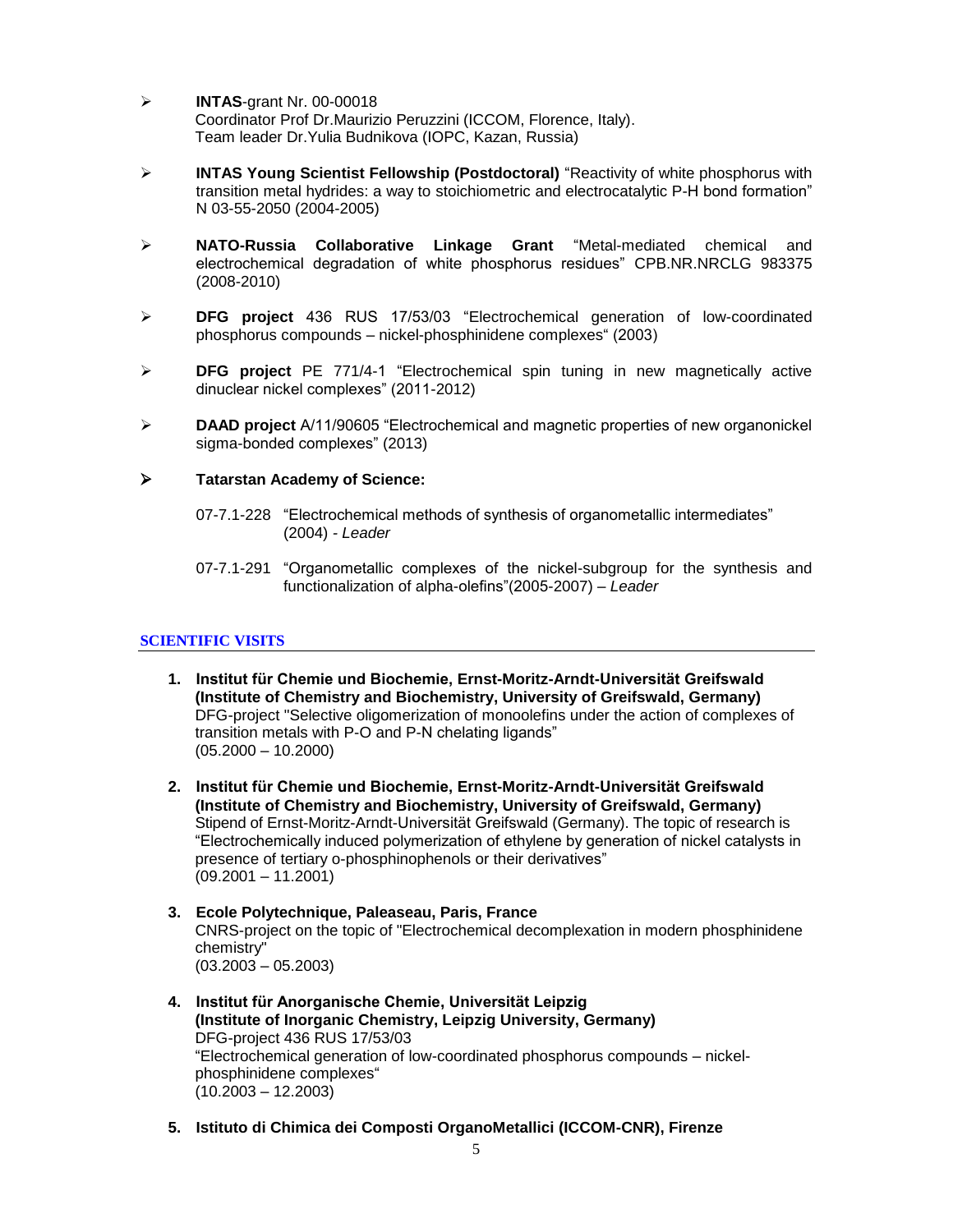- **INTAS**-grant Nr. 00-00018 Coordinator Prof Dr.Maurizio Peruzzini (ICCOM, Florence, Italy). Team leader Dr.Yulia Budnikova (IOPC, Kazan, Russia)
- **INTAS Young Scientist Fellowship (Postdoctoral)** "Reactivity of white phosphorus with transition metal hydrides: a way to stoichiometric and electrocatalytic P-H bond formation" N 03-55-2050 (2004-2005)
- **NATO-Russia Collaborative Linkage Grant** "Metal-mediated chemical and electrochemical degradation of white phosphorus residues" CPB.NR.NRCLG 983375 (2008-2010)
- **DFG project** 436 RUS 17/53/03 "Electrochemical generation of low-coordinated phosphorus compounds – nickel-phosphinidene complexes" (2003)
- **DFG project** PE 771/4-1 "Electrochemical spin tuning in new magnetically active dinuclear nickel complexes" (2011-2012)
- **DAAD project** A/11/90605 "Electrochemical and magnetic properties of new organonickel sigma-bonded complexes" (2013)

#### **Tatarstan Academy of Science:**

- 07-7.1-228 "Electrochemical methods of synthesis of organometallic intermediates" (2004) *- Leader*
- 07-7.1-291 "Organometallic complexes of the nickel-subgroup for the synthesis and functionalization of alpha-olefins"(2005-2007) *– Leader*

### **SCIENTIFIC VISITS**

- **1. Institut für Chemie und Biochemie, Ernst-Moritz-Arndt-Universität Greifswald (Institute of Chemistry and Biochemistry, University of Greifswald, Germany)** DFG-project "Selective oligomerization of monoolefins under the action of complexes of transition metals with P-O and P-N chelating ligands"  $(05.2000 - 10.2000)$
- **2. Institut für Chemie und Biochemie, Ernst-Moritz-Arndt-Universität Greifswald (Institute of Chemistry and Biochemistry, University of Greifswald, Germany)** Stipend of Ernst-Moritz-Arndt-Universität Greifswald (Germany). The topic of research is "Electrochemically induced polymerization of ethylene by generation of nickel catalysts in presence of tertiary o-phosphinophenols or their derivatives"  $(09.2001 - 11.2001)$
- **3. Ecole Polytechnique, Paleaseau, Paris, France** CNRS-project on the topic of "Electrochemical decomplexation in modern phosphinidene chemistry"  $(03.2003 - 05.2003)$
- **4. [Institut für Anorganische Chemie,](http://www.uni-leipzig.de/chemie/de/institute/anorganische_chemie.html) Universität Leipzig (Institute of Inorganic Chemistry, Leipzig University, Germany)** DFG-project 436 RUS 17/53/03 "Electrochemical generation of low-coordinated phosphorus compounds – nickelphosphinidene complexes"  $(10.2003 - 12.2003)$
- **5. Istituto di Chimica dei Composti OrganoMetallici (ICCOM-CNR), Firenze**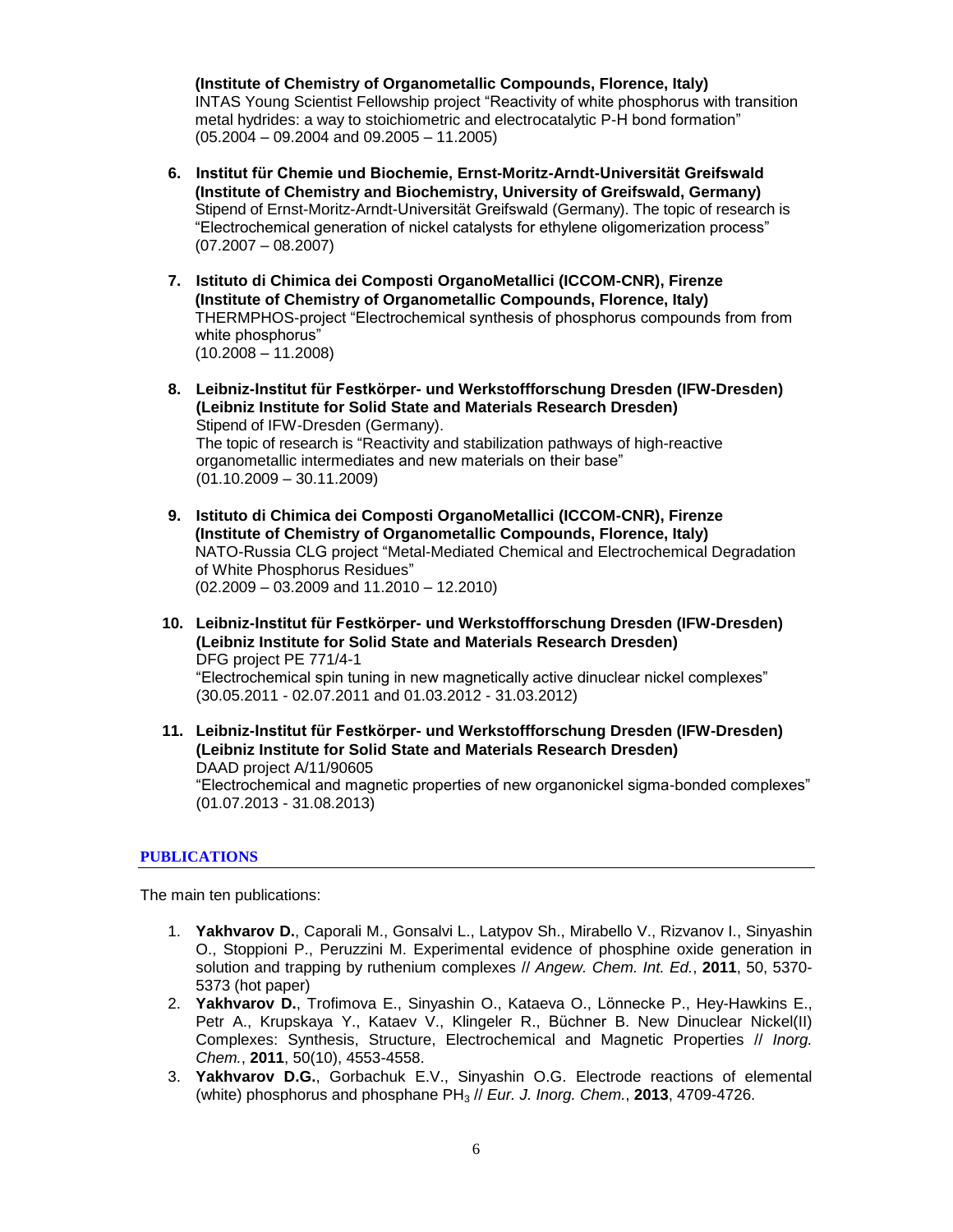**(Institute of Chemistry of Organometallic Compounds, Florence, Italy)** INTAS Young Scientist Fellowship project "Reactivity of white phosphorus with transition metal hydrides: a way to stoichiometric and electrocatalytic P-H bond formation" (05.2004 – 09.2004 and 09.2005 – 11.2005)

- **6. Institut für Chemie und Biochemie, Ernst-Moritz-Arndt-Universität Greifswald (Institute of Chemistry and Biochemistry, University of Greifswald, Germany)** Stipend of Ernst-Moritz-Arndt-Universität Greifswald (Germany). The topic of research is "Electrochemical generation of nickel catalysts for ethylene oligomerization process"  $(07.2007 - 08.2007)$
- **7. Istituto di Chimica dei Composti OrganoMetallici (ICCOM-CNR), Firenze (Institute of Chemistry of Organometallic Compounds, Florence, Italy)** THERMPHOS-project "Electrochemical synthesis of phosphorus compounds from from white phosphorus"  $(10.2008 - 11.2008)$
- **8. Leibniz-Institut für Festkörper- und Werkstoffforschung Dresden (IFW-Dresden) (Leibniz Institute for Solid State and Materials Research Dresden)** Stipend of IFW-Dresden (Germany). The topic of research is "Reactivity and stabilization pathways of high-reactive organometallic intermediates and new materials on their base"  $(01.10.2009 - 30.11.2009)$
- **9. Istituto di Chimica dei Composti OrganoMetallici (ICCOM-CNR), Firenze (Institute of Chemistry of Organometallic Compounds, Florence, Italy)** NATO-Russia CLG project "Metal-Mediated Chemical and Electrochemical Degradation of White Phosphorus Residues" (02.2009 – 03.2009 and 11.2010 – 12.2010)
- **10. Leibniz-Institut für Festkörper- und Werkstoffforschung Dresden (IFW-Dresden) (Leibniz Institute for Solid State and Materials Research Dresden)** DFG project PE 771/4-1 "Electrochemical spin tuning in new magnetically active dinuclear nickel complexes" (30.05.2011 - 02.07.2011 and 01.03.2012 - 31.03.2012)
- **11. Leibniz-Institut für Festkörper- und Werkstoffforschung Dresden (IFW-Dresden) (Leibniz Institute for Solid State and Materials Research Dresden)** DAAD project A/11/90605 "Electrochemical and magnetic properties of new organonickel sigma-bonded complexes" (01.07.2013 - 31.08.2013)

#### **PUBLICATIONS**

The main ten publications:

- 1. **Yakhvarov D.**, Caporali M., Gonsalvi L., Latypov Sh., Mirabello V., Rizvanov I., Sinyashin O., Stoppioni P., Peruzzini M. Experimental evidence of phosphine oxide generation in solution and trapping by ruthenium complexes // *Angew. Chem. Int. Ed.*, **2011**, 50, 5370- 5373 (hot paper)
- 2. **Yakhvarov D.**, Trofimova E., Sinyashin O., Kataeva O., Lönnecke P., Hey-Hawkins E., Petr A., Krupskaya Y., Kataev V., Klingeler R., Büchner B. New Dinuclear Nickel(II) Complexes: Synthesis, Structure, Electrochemical and Magnetic Properties // *Inorg. Chem.*, **2011**, 50(10), 4553-4558.
- 3. **Yakhvarov D.G.**, Gorbachuk E.V., Sinyashin O.G. Electrode reactions of elemental (white) phosphorus and phosphane  $PH_3$  // *Eur. J. Inorg. Chem.*, **2013**, 4709-4726.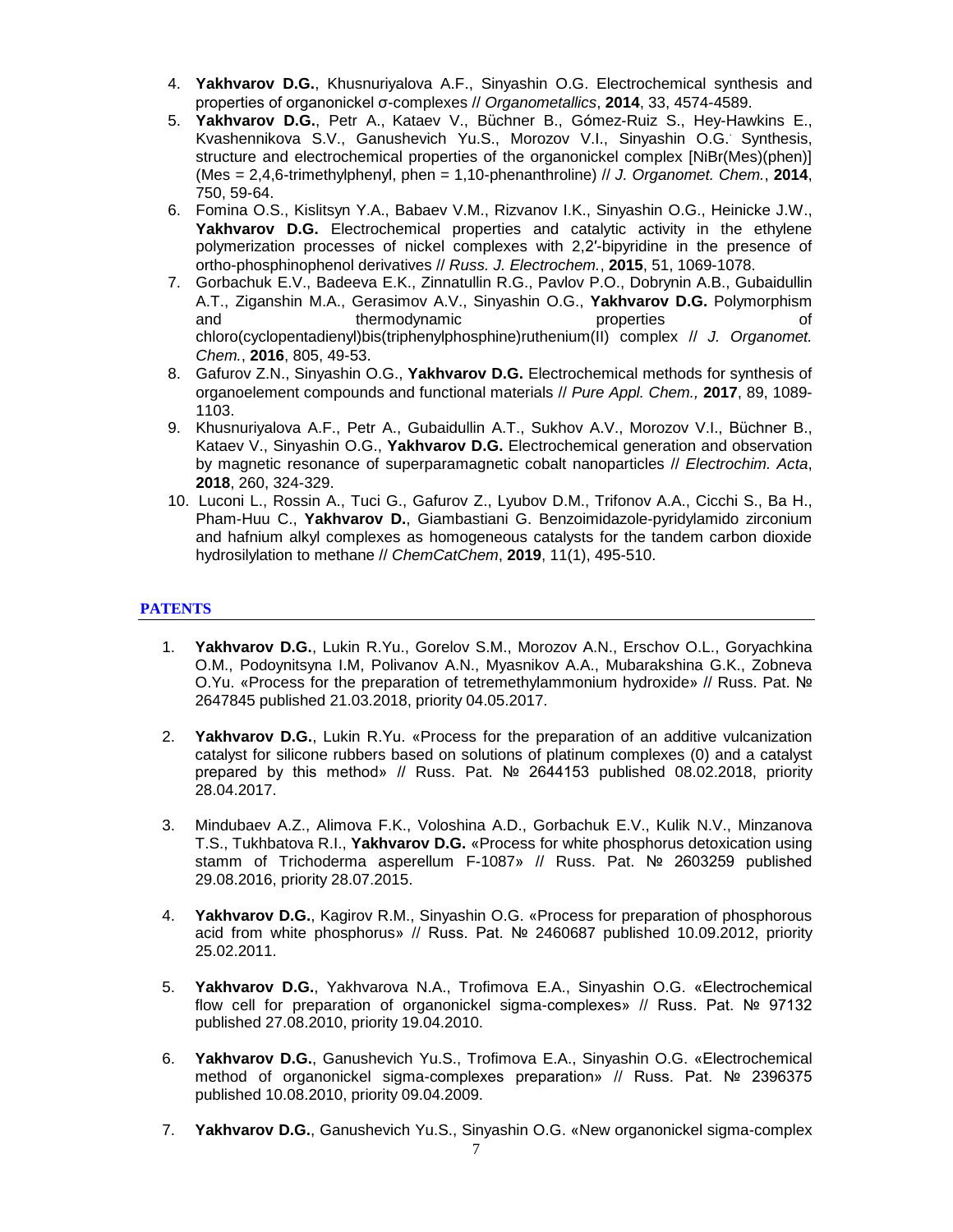- 4. **Yakhvarov D.G.**, Khusnuriyalova A.F., Sinyashin O.G. Electrochemical synthesis and properties of organonickel σ-complexes // *Organometallics*, **2014**, 33, 4574-4589.
- 5. **Yakhvarov D.G.**, Petr A., Kataev V., Büchner B., Gómez-Ruiz S., Hey-Hawkins E., Kvashennikova S.V., Ganushevich Yu.S., Morozov V.I., Sinyashin O.G. . Synthesis, structure and electrochemical properties of the organonickel complex [NiBr(Mes)(phen)] (Mes = 2,4,6-trimethylphenyl, phen = 1,10-phenanthroline) // *J. Organomet. Chem.*, **2014**, 750, 59-64.
- 6. Fomina O.S., Kislitsyn Y.A., Babaev V.M., Rizvanov I.K., Sinyashin O.G., Heinicke J.W., **Yakhvarov D.G.** Electrochemical properties and catalytic activity in the ethylene polymerization processes of nickel complexes with 2,2′-bipyridine in the presence of ortho-phosphinophenol derivatives // *Russ. J. Electrochem.*, **2015**, 51, 1069-1078.
- 7. Gorbachuk E.V., Badeeva E.K., Zinnatullin R.G., Pavlov P.O., Dobrynin A.B., Gubaidullin A.T., Ziganshin M.A., Gerasimov A.V., Sinyashin O.G., **Yakhvarov D.G.** Polymorphism and thermodynamic properties of of chloro(cyclopentadienyl)bis(triphenylphosphine)ruthenium(II) complex // *J. Organomet. Chem.*, **2016**, 805, 49-53.
- 8. Gafurov Z.N., Sinyashin O.G., **Yakhvarov D.G.** Electrochemical methods for synthesis of organoelement compounds and functional materials // *Pure Appl. Chem.,* **2017**, 89, 1089- 1103.
- 9. Khusnuriyalova A.F., Petr A., Gubaidullin A.T., Sukhov A.V., Morozov V.I., Büchner B., Kataev V., Sinyashin O.G., **Yakhvarov D.G.** Electrochemical generation and observation by magnetic resonance of superparamagnetic cobalt nanoparticles // *Electrochim. Acta*, **2018**, 260, 324-329.
- 10. Luconi L., Rossin A., Tuci G., Gafurov Z., Lyubov D.M., Trifonov A.A., Cicchi S., Ba H., Pham-Huu C., **Yakhvarov D.**, Giambastiani G. Benzoimidazole-pyridylamido zirconium and hafnium alkyl complexes as homogeneous catalysts for the tandem carbon dioxide hydrosilylation to methane // *ChemCatChem*, **2019**, 11(1), 495-510.

## **PATENTS**

- 1. **Yakhvarov D.G.**, Lukin R.Yu., Gorelov S.M., Morozov A.N., Erschov O.L., Goryachkina O.M., Podoynitsyna I.M, Polivanov A.N., Myasnikov A.A., Mubarakshina G.K., Zobneva O.Yu. «Process for the preparation of tetremethylammonium hydroxide» // Russ. Pat. № 2647845 published 21.03.2018, priority 04.05.2017.
- 2. **Yakhvarov D.G.**, Lukin R.Yu. «Process for the preparation of an additive vulcanization catalyst for silicone rubbers based on solutions of platinum complexes (0) and a catalyst prepared by this method» // Russ. Pat. № 2644153 published 08.02.2018, priority 28.04.2017.
- 3. Mindubaev A.Z., Alimova F.K., Voloshina A.D., Gorbachuk E.V., Kulik N.V., Minzanova T.S., Tukhbatova R.I., **Yakhvarov D.G.** «Process for white phosphorus detoxication using stamm of Trichoderma asperellum F-1087» // Russ. Pat. № 2603259 published 29.08.2016, priority 28.07.2015.
- 4. **Yakhvarov D.G.**, Kagirov R.M., Sinyashin O.G. «Process for preparation of phosphorous acid from white phosphorus» // Russ. Pat. № 2460687 published 10.09.2012, priority 25.02.2011.
- 5. **Yakhvarov D.G.**, Yakhvarova N.A., Trofimova E.A., Sinyashin O.G. «Electrochemical flow cell for preparation of organonickel sigma-complexes» // Russ. Pat. № 97132 published 27.08.2010, priority 19.04.2010.
- 6. **Yakhvarov D.G.**, Ganushevich Yu.S., Trofimova E.A., Sinyashin O.G. «Electrochemical method of organonickel sigma-complexes preparation» // Russ. Pat. № 2396375 published 10.08.2010, priority 09.04.2009.
- 7. **Yakhvarov D.G.**, Ganushevich Yu.S., Sinyashin O.G. «New organonickel sigma-complex